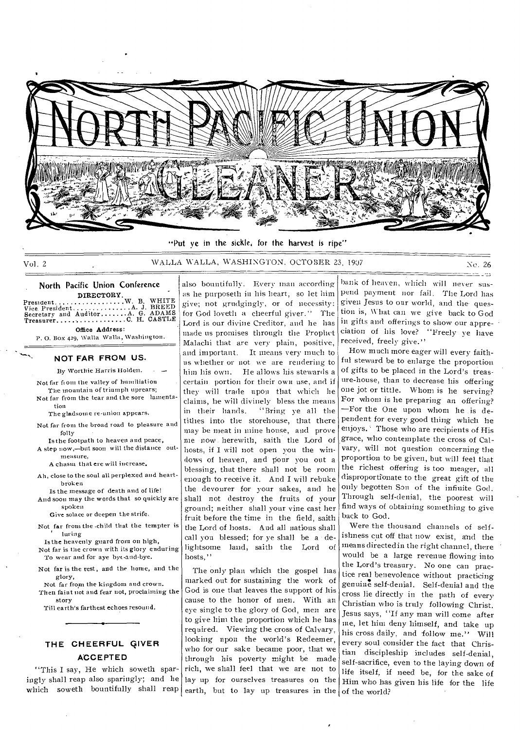

"Put ye in the sickle, for the harvest is ripe"

## Vol. 2 WALLA WALLA, WASHINGTON, OCTOBER 23, 1997 No. 26

بداء

#### North Pacific Union Conference DIRECTORY. President.

Vice. President Secretary and Auditor Preasurer......... W. B. WHITE<br>.A. J. BREED<br>.A. G. ADAMS  $\ldots$  C. H. CASTLE Office Address:

P. 0. Box 429, Walla Walla, Washington.

#### • **NOT FAR FROM US.**

By Worthie Harris Holden.

Not far fi out the valley of humiliation The mountain of triumph uprears;

Not far from the tear and the sore lamentation

The gladsome re-union appears.

Not far from the broad road to pleasure and folly

Is the footpath to heaven and peace, A step now,—but soon will the distance outmeasure,

A chasm that ere will increase.

Ah, close to the soul all perplexed and heartbroken

Is the message of death and of life! And soon may the words that so quickly are spoken

Give solace or deepen the strife.

Not far from the -child that the tempter is luring

Is the heavenly guard from on high, Not far is the crown with its glory enduring

- To wear and for aye byt-and-bye.
- Not far is the rest, and the home, and the glory,
- Not far front the kingdom and crown. Then faint not and fear not, proclaiming the story

Till earth's farthest echoes resound.

## **THE CHEERFUL QIVER ACCEPTED**

**"This** I say, He which soweth sparingly shall reap also sparingly; and he which soweth bountifully shall reap

also bountifully. Every man according as he purposeth in his heart, so let him give; not grudgingly, or of necessity: for God loveth a cheerful giver." The Lord is our divine Creditor, and he has made us promises through the Prophet Malachi that are very plain, positive, and important. It means very much to us whether or not we are rendering to him his own. He allows his stewards a certain portion for their own use, and if they will trade upon that which he claims, he will divinely bless the means in their hands. "Bring ye all the tithes into the storehouse, that there may be meat in mine house, and prove me now herewith, saith the Lord of hosts, if I will not open you the windows of heaven, and pour you out a blessing, that there shall not be room enough to receive it. And I will rebuke the devourer for your sakes, and he shall not destroy the fruits of your ground; neither shall your vine cast her fruit before the time in the field, saith the Lord of hosts. And all nations shall call you blessed; for ye shall be a delightsome land, saith the Lord of hosts,"

The only plan which the gospel has marked out for sustaining the work of God is one that leaves the support of his cause to the honor of men. With an eye single to the glory of God, men are to give him the proportion which he has required. Viewing the cross of Calvary, looking upon the world's Redeemer, who for our sake became poor, that we through his poverty might be made rich, we shall feel that we are not to lay up for ourselves treasures on the earth, but to lay up treasures in the

bank of heaven, which will never suspend payment nor fail. The Lord has given Jesus to our world, and the question is, What can we give back to God in gifts and offerings to show our appreciation of his love? "Freely ye have received, freely give."

How much more eager will every faithful steward be to enlarge the proportion of gifts to be placed in the Lord's treasure-house, than to decrease his offering one jot or tittle. Whom is he serving? For whom is he preparing an offering? —For the One upon whom he .is dependent for every good thing which he enjoys.' Those who are recipients of His grace, who contemplate the cross of Calvary, will not question concerning the proportion to be given, but will feel that the richest offering is too meager, all disproportionate to the great gift of the only begotten Son of the infinite God. Through self-denial, the poorest will find ways of obtaining something to give back to God.

Were the thousand channels of selfishness cut off that now exist, and the means directed in the right channel, there would be a large revenue flowing into the Lord's treasury. No one can practice real benevolence without practicing genuine self-denial. Self-denial and the cross lie directly in the path of every Christian who is truly following Christ. Jesus says, "If any man will come after me, let him deny himself, and take up his cross daily, and follow me." Will every soul consider the fact that Christian discipleship includes self-denial, self-sacrifice, even to the laying down of life itself, if need be, for the sake of Him who has given his life for the life of the world?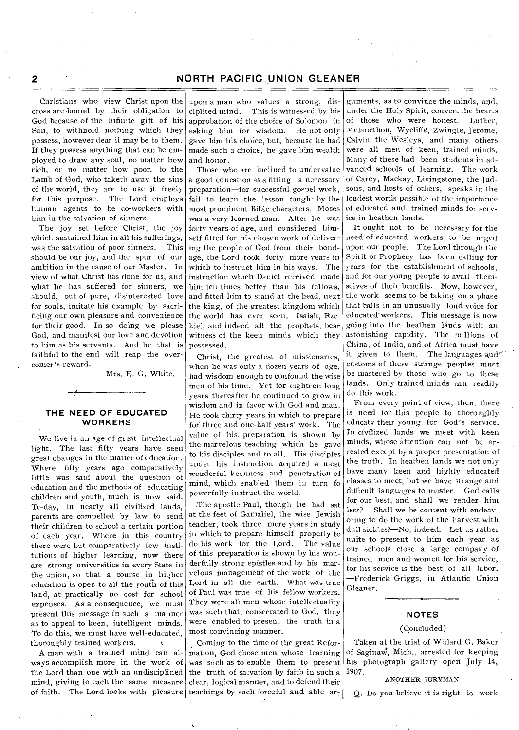Christians who view Christ upon the cross are bound by their obligation to God because of the infinite gift of his Son, to withhold nothing which they possess, however dear it may be to them. If they possess anything that can be employed to draw any soul, no matter how rich, or no matter how poor, to the Lamb of God, who taketh away the sins of the world, they are to use it freely for this purpose. The Lord employs human agents to be co-workers with him in the salvation of sinners. •

. The joy set before Christ, the joy which sustained him in all his sufferings, was the salvation of poor sinners. This should be our joy, and the spur of our ambition in the cause of our Master. In view of what Christ has done for us, and what he has suffered for sinners, we should, out of pure, disinterested love for souls, imitate, his example by sacrificing our own pleasure and convenience for their good. In so doing we please God, and manifest our love and devotion to him as his servants. And he that is faithful to the end will reap the overcomer's reward.

Mrs. E. G. White.

### **THE NEED OF EDUCATED WORKERS**

We live in an age of great intellectual light. The last fifty years have seen great changes in the matter of education. Where fifty years ago comparatively little was said about the 'question of education and the methods of educating children and youth, much is now said. To-day, in nearly all civilized lands, parents are compelled by law to send their children to school a certain portion of each year. Where in this country there were but comparatively few institutions of higher learning, now there are strong universities in every State in the union, so that a course in higher education is open to all the youth of this land, at practically no cost for school expenses. As a consequence, we must present this message in such a manner as to appeal to keen, intelligent minds. To do this, we must have well-educated, thoroughly trained workers.

A man with a trained mind can always accomplish more in the work of the Lord than one with an undisciplined mind, giving to each the same measure of faith. The Lord looks with pleasure

upon a man who values a strong, disciplited mind. This is witnessed by his approbation of the choice of Solomon in asking him for wisdom. He not only gave him his choice, but, because he had made such a choice, he gave him wealth and honor.

Those who are inclined to undervalue a good education as a fitting—a necessary preparation—for successful gospel work, fail to learn the lesson taught by the most prominent Bible characters. Moses was a very learned man. After he was forty years of age, and considered himself fitted for his chosen work of delivering the people of God from their bondage, the Lord took forty more years in which to instruct him in his ways. The instruction which Daniel received made him ten times better than Ins fellows, and fitted him to stand at the head, next the king, of the greatest kingdom which the world has ever seen. Isaiah, Ezekiel, and indeed all the prophets, bear witness of the keen minds which they possessed.

Christ, the greatest of missionaries, when he was only a dozen years of age, had wisdom enough to confound the wise men of his time. Yet for eighteen long years thereafter he continued to grow in wisdom and in favor with God and man. He took thirty years in which to prepare for three and one-half years' work. The value of his. preparation is shown by the marvelous teaching which he gave to his disciples and to all. His disciples under his instruction acquired a most wonderful keenness and penetration of mind, which enabled them in turn fo powerfully instruct the world.

The apostle Paul, though he had sat at the feet of Gamaliel, the wise Jewish teacher, took three more years in study in which to prepare himself properly to do his work for the Lord. The value of this preparation is shown by his wonderfully strong epistles and by his marvelous management of the work of the Lord in all the earth. What was true of Paul was true of his fellow workers. They were all men whose intellectuality was such that, consecrated to God, they were enabled to present the truth in a most convincing manner.

Coming to the time of the great Reformation, God chose men whose learning was such as to enable them to present the truth of salvation by faith in such a clear, logical manner, and to defend their teachings by such forceful and able ar-

guments, as to convince the minds, and, under the Holy Spirit, convert the hearts of those who were honest. Luther, Melancthon, Wycliffe, Zwingle, Jerome, Calvin, the Wesleys, and many others were all men of keen, trained minds. Many of these had been students in advanced schools of learning. The work of Carey, Mackay, Livingstone, the Judsons, and hosts of others, speaks in the loudest words possible of the importance of educated and trained minds for service in heathen lands.

It ought not to be necessary for the need of educated workers to be urged upon our people. The Lord through the Spirit of Prophecy has been calling for years for the establishment of schools, and for our young people to avail themselves of their benefits. Now, however, the work seems to be taking on a phase that tails in an unusually loud voice for educated- workers. This message is now going into the heathen lands with an astonishing rapidity. The millions of China, of India, and of Africa must have it given to them. The languages and customs of these strange peoples must be mastered by those who go to these lands.. Only trained minds can readily do this work.

From every point of view, then, there is need for this people to thoroughly educate their young for God's service. In civilized lands we meet with keen minds, whose attention can not be arrested except by a proper presentation of the truth. In heathen lands we not only have many keen and highly educated classes to meet, but we have strange and difficult languages to master. God calls for our best, and shall we render him less? Shall we be content with endeavoring to do the work of the harvest with dull sickles?—No, indeed. Let us rather unite to present to him each year as our schools close a large company of trained men and women for his service, for his service is the best of all labor. —Frederick Griggs, in Atlantic Union Gleaner.

### **NOTES**

#### (Concluded)

Taken at the trial of Willard G. Baker of Saginaw, Mich., arrested for keeping his photograph gallery open July 14, 1907.

### ANOTHER JURYMAN

Q. Do you believe it is right to work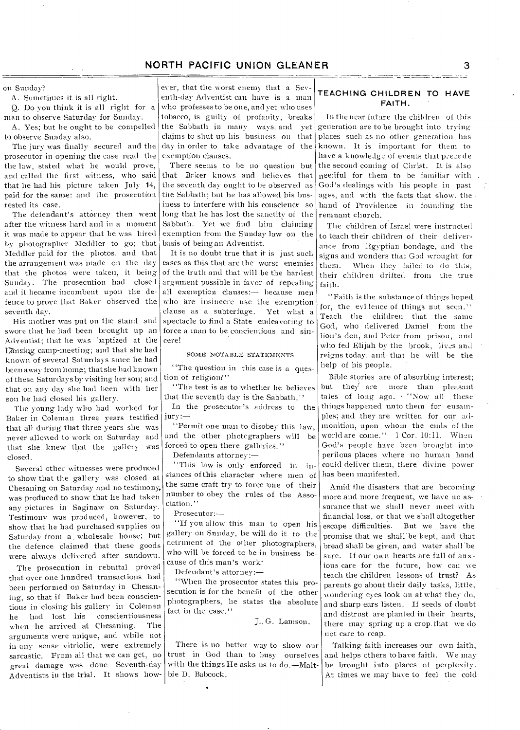on Sunday?

A. Sometimes it is all right.

Q. Do you think it is all right for a man to observe Saturday for Sunday.

A. Yes; but he ought to be compelled to observe Sunday also.

The jury was finally secured and the prosecutor in opening the case read the the law, stated what he would prove, and called the first witness, who said that he had his picture taken July 14, paid for the same: and the prosecution rested its case.

The defendant's attorney then went after the witness hard and in a moment it was made to appear that he was hired by photographer Meddler to go; that Meddler paid for the photos. and that the arrangement was made on the day that the photos were taken, it being Sunday. The prosecution had closed and it became incumbent upon the defence to prove that Baker observed the seventh day.

His mother was put on the stand and swore that he had been brought up an Adventist; that he was baptized at the Lansing camp-meeting; and that she had known of several Saturdays since he had been away from home; that she had known of these Saturdays by visiting her son; and that on any day she had been with her son he had closed his gallery.

The young lady who had worked for Baker in Coleman three years testified that all during that three years she was never allowed to work on Saturday and that she knew that the gallery was closed.

Several other witnesses were produced to show that the gallery was closed at Chesaning on Saturday and no testimony. was produced to show that lie had taken any pictures in Saginaw on Saturday. Testimony was produced, however, to show that he had purchased supplies on Saturday from a wholesale house; but the defence claimed that these goods were always delivered after sundown.

The prosecution in rebuttal proved that over one hundred transactions had been performed on Saturday in Chesaning, so that if Baker had been conscientious in closing his gallery in Coleman he had lost his conscientiousness when he arrived at Chesaning. The arguments were unique, and while not in any sense vitriolic, were extremely sarcastic. From all that we can get, no great damage was done Seventh-day Adventists in the trial. It shows how-

ever, that the worst enemy that a Seventh-day Adventist can have is a man who professes to be one, and yet who uses tobacco, is guilty of profanity, breaks the Sabbath in many ways, and yet claims to shut up his business on that day in order to take advantage of the exemption clauses.

There seems to be no question but that Beker knows and believes that the seventh day ought to be observed as the Sabbath; but he has allowed Ins business to interfere with Ins conscience so long that he has lost the sanctity of the Sabbath. Yet we find him claiming exemption from the Sunday law on the basis of being an Adventist.

It is no doubt true that it is just such cases as this that are the worst enemies of the truth and that will be the hardest argument possible in favor of repealing all exemption clauses:— because men who are insincere use the exemption clause as a subterfuge. Yet what a spectacle to find a State endeavoring to force a man to be concientious and sincere!

#### SOME NOTABLE STATEMENTS

"The question in this case is a question of religion?"

"The test is as to whether lie believes that the seventh day is the Sabbath."

In the prosecutor's address to the jury:—

"Permit one man to disobey this law, and the other photcgraphers will be forced to open there galleries."

Defendants attorney:—

"This law is only enforced in instances of this character where men of the same craft try to force 'one of their number to obey the rules of the Association."

Prosecutor:—

"If you allow this man to open his gallery on Sunday, he will do it to the detriment of the other photographers, who will be forced to be in business because of this man's work•

Defendant's attorney:—

"When the prosecutor states this prosecution is for the benefit of the other photographers, he states the absolute fact in the case."

J.. G. Lamson.

There is no better way to show our trust in God than to busy ourselves with the things He asks us to do.—Maltbie D. Babcock.

## **TEACHING CHILDREN TO HAVE FAITH.**

In the near future the children of this generation are to be brought into trying places such as no other generation has known. It is important for them to have a knowledge of events that precede the second coming of Christ. It is also needful for them to be familiar with God's dealings with Ins people in past ages, and with the facts that show, the hand of Providence in founding the remnant church.

The children of Israel were instructed to teach their children of their deliverance from Egyptian bondage, and the signs and wonders that God wrought for them. When they failed to do this, their children drifted from the true faith.

'Faith is the substance of things hoped for, the evidence of things not seen." Teach the children that the same God, who delivered Daniel from the lion's den, and Peter from prison, and who fed Elijah by the brook, lives and reigns today, and that he will be the help of his people.

Bible stories are of absorbing interest; but they are more than pleasant tales of long ago. "Now all these things happened unto them for ensam-Ples; and they are written for our admonition, upon whom the ends of the world are come." 1 Cor. 10:11. When God's people have been brought into perilous places where no human hand could deliver them, there divine power has been manifested.

Amid the disasters that are becoming more and more frequent, we have no assurance that we shall never meet with financial loss, or that we shall altogether escape difficulties. But we have the promise that we shall be kept, and that bread shall be given, and water shall 'be sure. If our own hearts are full of anxious care for the future, how can we teach the children lessons of trust? As parents go about their daily tasks, little, wondering eyes look on at what they do, and sharp ears listen. If seeds of doubt and distrust are planted in their hearts, there may spring up a crop.that we do not care to reap.

Talking faith increases our own faith, and helps others to have faith. We may be brought into places of perplexity. At times we may have to feel the cold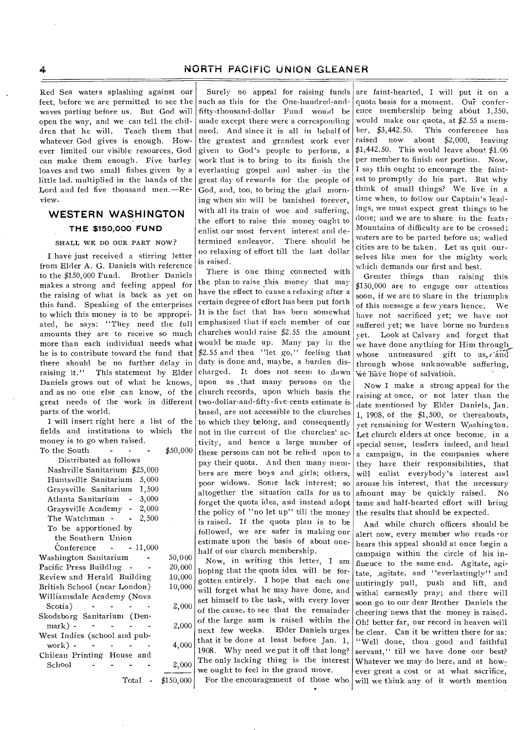Red Sea waters splashing against our feet, before we are permitted to see the waves parting before us. But God will open the way, and we can tell the children that he will. Teach them that whatever God gives is enough. However limited our visible resources, God can make them enough. Five barley loaves and two small fishes given by a little lad, multiplied in the hands of the Lord and fed five thousand men.—Review.

## **WESTERN WASHINGTON THE \$150,000 FUND**

#### SHALL WE DO OUR PART NOW?

I have just received a stirring letter from Elder A. G. Daniels with reference to the \$150,000 Fund. Brother Daniels makes a strong and feeling appeal for the raising of what is back as yet on this fund. Speaking of the enterprises to which this money is to be appropriated, he says: "They need the full amounts they are to receive so much more than each individual needs what he is to contribute toward the fund that there should be no further delay in raising it." This statement by Elder Daniels grows out of what he knows, and as no one else can know, of the great needs of the work in different parts of the world.

I will insert right here a list of the fields and institutions to which the money is to go when raised. To the South - - - \$50,000

| Distributed as follows         |           |  |  |  |  |  |  |  |
|--------------------------------|-----------|--|--|--|--|--|--|--|
| Nashville Sanitarium \$25,000  |           |  |  |  |  |  |  |  |
| Huntsville Sanitarium<br>5,000 |           |  |  |  |  |  |  |  |
| 1,500<br>Graysville Sanitarium |           |  |  |  |  |  |  |  |
| $-3,000$<br>Atlanta Sanitarium |           |  |  |  |  |  |  |  |
| Graysville Academy - 2,000     |           |  |  |  |  |  |  |  |
| $-2,500$<br>The Watchman       |           |  |  |  |  |  |  |  |
| To be apportioned by           |           |  |  |  |  |  |  |  |
| the Southern Union             |           |  |  |  |  |  |  |  |
| Conference $-11,000$           |           |  |  |  |  |  |  |  |
| Washington Sanitarium          | 50,000    |  |  |  |  |  |  |  |
| Pacific Press BuildIng         | 20,000    |  |  |  |  |  |  |  |
| Review and Herald Building     | 10,000    |  |  |  |  |  |  |  |
| British School (near London)   | 10,000    |  |  |  |  |  |  |  |
| Williamsdale Academy (Nova     |           |  |  |  |  |  |  |  |
| Scotia)                        | 2,000     |  |  |  |  |  |  |  |
| Skodsborg Sanitarium (Den-     |           |  |  |  |  |  |  |  |
| mark) -                        | 2,000     |  |  |  |  |  |  |  |
| West Indies (school and pub-   |           |  |  |  |  |  |  |  |
| $work)$ -                      | 4,000     |  |  |  |  |  |  |  |
| Chilean Printing House and     |           |  |  |  |  |  |  |  |
| School                         | 2,000     |  |  |  |  |  |  |  |
| Total                          | \$150,000 |  |  |  |  |  |  |  |

Surely no appeal for raising funds such as this for the One-hundred-andfifty-thousand-dollar Fund would be made except there were a corresponding need. And since it is all in behalf of the greatest and grandest work ever given to God's people to perform, a work that is to bring to its finish the everlasting gospel and usher •in the great day of rewards for the people of God, and, too, to bring the glad morning when sin will be banished forever, with all its train of woe and suffering, the effort to raise this money ought to enlist our most fervent interest and determined endeayor. There should be no relaxing of effort till the last dollar is raised.

There is one thing connected with the plan to raise this money that may have the effect to cause a relaxing after a certain degree of effort has been put forth It is the fact that has been somewhat emphasized that if each member of our churches would raise \$2.55 the amount would be made up. Many pay in the \$2.55 and then "let go," feeling that duty is done and, maybe, a burden discharged. It does not seem to dawn upon us ,that many persons on the church records, upon which basis the two-dollar-and-fifty-five-cents estimate is based, are not accessible to the churches to which they belong, and consequently not in the current of the churches' activity, and hence a large number of these persons can not be relied upon to pay their quota. And then many members are mere boys and girls; others, poor widows. Some lack interest; so altogether the situation calls for us to forget the quota idea, and instead adopt the policy of "no let up" till the money is raised. If the quota plan is to be followed, we are safer in making our estimate upon the basis of about onehalf of our church membership.

Now, in writing this letter, I am hoping that the quota idea will be forgotten entirely. I hope that each one will forget what he may have done, and set himself to the task, with every lover of the cause, to see that the remainder of the large sum is raised within the next few weeks. Elder Daniels urges that it be done at least before Jan. 1, 1908. Why need we put it off that long? The only lacking thing is the interest we ought to feel in the grand move. For the encouragement of those who

•

are faint-hearted, I will put it on a quota basis for a moment. Our conference membership being about 1,350, would make our quota, at \$2.55 a member, \$3,442.50. This conference has raised now about \$2,000, leaving \$1,442.50. This would leave about \$1.06 per member to finish our portion. Now, I say this ought to encourage the faintest to promptly do his part. But why think of small things? We live in a time when, to follow our Captain's leadings, we must expect great things to be done; and we are to share in the feats: Mountains of difficulty are to be crossed; waters are to be parted before us; walled cities are to be taken. Let us quit ourselves like men for the mighty work which demands our first and best.

Greater things than raising this \$150,000 are to engage our attention soon, if we are to share in the triumphs of this message a few years hence. We have not sacrificed yet; we have not suffered yet; we have borne no burdens yet. Look at Calvary and forget that we have done anything for Him through whose unmeasured gift to us, rand through whose unknowable suffering, we liave liope of salvation.

Now I make a strong appeal for the raising at once, or not later than the date mentioned by Elder Daniels, Jan. 1, 1908, of the \$1,500, or thereabouts, yet remaining for Western Washington. Let church elders at once become, in a special sense, leaders indeed, and head a campaign, in the companies where they have their responsibilities, that will enlist everybody's interest and arouse his interest, that the necessary<br>amount may be quickly raised. No amount may be quickly raised. tame and half-hearted effort will bring the results that should be expected.

And while church officers should be alert now, every member who reads or hears this appeal should at once begin a campaign within the circle of his influence to the same end. Agitate, agitate, agitate, and "everlastingly" and untiringly pull, push and lift, and withal earnestly pray; and there will soon go to our dear Brother Daniels the cheering news that the money is raised. Oh! better far, our record in heaven will be clear. Can it be written there for us: "Well done, thou good and faithful servant," till we have done our best? Whatever we may do here, and at however great a cost or at what sacrifice, will we think any of it worth mention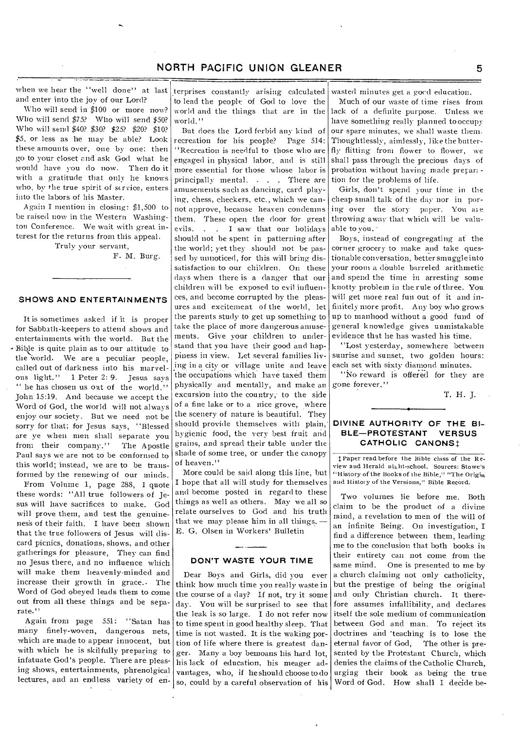when we hear the "well done" at last and enter into the joy of our Lord?

Who will send in \$100 or more now? Who will send \$75? Who will send \$50? Who will send \$40? \$30? \$25? \$20? \$10? \$5, or less as he may be able? Look these amounts over, one by one; then go to your closet and ask God what he would have you do now. Then do it with a gratitude that only he knows who, by the true spirit of service, enters into the labors of his Master.

Again I mention in closing: \$1,500 to be raised now in the Western Washington Conference. We wait with great interest for the returns from this appeal.

Truly your servant,

F. M. Burg.

## **SHOWS AND ENTERTAINMENTS**

It is sometimes asked if it is proper for Sabbath-keepers to attend shows and entertainments with the world. But the -Bible is quite plain as to our attitude to the World. We are a peculiar people, called out of darkness into his marvelous light." 1 Peter 2: 9. Jesus says " he has chosen us out of the world." John 15:19. And because we accept the Word of God, the World will not always enjoy our society. But we need not be sorry for that; for Jesus says, "Blessed are ye when men shall separate you from their company." The Apostle Paul says we are not to be conformed to this world; instead, we are to be transformed by the renewing of our minds.

From Volume 1, page 288, I quote these words: "All true followers of Jesus will have sacrifices to make. God will prove them, and test the genuinenes's of their faith. I have been shown that the true followers of Jesus will discard picnics, donations, shows, and other gatherings for pleasure, They can find no Jesus there, and no influence which will make them heavenly-minded and increase their growth in grace.. The Word of God obeyed leads them to come out from all these things and be separate."

Again from page 551: ''Satan has many finely-woven, dangerous nets, which are made to appear innocent, but with which he is skilfully preparing to infatuate God's people. There are pleasing shows, entertainments, phrenolgical lectures, and an endless variety of en-

terprises constantly arising calculated to lead the people of God to love the world and the things that are in the world."

But does the Lord forbid any kind of recreation for his people? Page 514: ''Recreation is needful to those who are engaged in physical labor, and is still more essential for those whose labor is principally mental. . . . There are amusements such as dancing, card playing, chess, checkers, etc., which we cannot approve, because heaven condemns them. These open the door for. great evils. . . I saw that our holidays should not be spent in patterning after the world; yet they should not be passed by unnoticed, for this will bring dissatisfaction to our children. On these days when there is a danger that our children will be exposed to evil influences, and become corrupted by the pleasures and excitement of the world, let the parents study to get up something to take the place of more dangerous amusements. Give your children to understand that you have their good and happiness in view. Let several families living in a cityor village unite and leave the occupations which have taxed them physically and mentally, and make an excursion into the country, to the side of a fine lake or to a nice grove, where the scenery of nature is beautiful. They should provide themselves with plain, hygienic food, the very best fruit and grains, and spread their table under the shade of some tree, or under the canopy of heaven."

More could be said along this line, but I hope that all will study for themselves and become posted in regard to these things as well as others. May we all so relate ourselves to God and his truth that we may please him in all things. — E. G. Olsen in Workers' Bulletin

#### **DON'T WASTE YOUR TIME**

Dear Boys and Girls, did you ever think how much time you really waste in the course of a day? If not, try it some day. You will be surprised to see that the leak is so large. I do not refer now to time spent in good healthy sleep. That time is not wasted. It is the waking portion of life where there is greatest danger. Many a boy bemoans Ins hard lot, his lack of education, his meager advantages, who, if he should choose to do so, could by a careful observation of his

wasted minutes get a good education.

Much of our waste of time rises from lack of a definite purpose. Unless we have something really planned to occupy our spare minutes, we shall waste them. Thoughtlessly, aimlessly, like the butterfly flitting front flower to flower, we shall pass through the precious days of probation without having made preparation for the problems of life.

Girls, don't spend your time in the cheap small talk of the day nor in poring over the story paper. You are throwing away that which will be valuable to you.

Boys, instead of congregating at the corner grocery to make and take questionable conversation, better smuggle into your room a double barreled arithmetic and spend the time in arresting some knotty problem in the rule of three. You will get more real fun out of it and infinitely more profit. Any boy who grows up to manhood without a good fund of general knowledge gives unmistakable evidence that he has wasted his time.

"Lost yesterday, somewhere between sunrise and sunset, two golden hours: each set with sixty diamond minutes.

"No reward is offered for they are gone forever."

T. H. J.

### **DIVINE AUTHORITY OF THE BI-BLE—PROTESTANT VERSUS**  CATHOLIC CANONS<sup>1</sup>

t Paper read before the Bible class of the Review and Herald night-school. Sources: Stowe's "History of the Books of the Bible," "The Origin and Histot y of the Versions," Bible Record.

Two volumes lie before me. Both claim to be the product of a divine mind, a revelation to men of the will of an infinite Being. On investigation, I find a difference between them, leading me to the conclusion that both books in their entirety can not come from the same mind. One is presented to me by a church claiming not only catholicity, but the prestige of being the original and only Christian church. It therefore assumes infallibility, and declares itself the sole medium of communication between God and man. To reject its doctrines and 'teaching is to lose the eternal favor of God, The other is presented by the Protestant Church, which denies the claims of the Catholic Church, urging their book as being the true Word of God. How shall I decide be-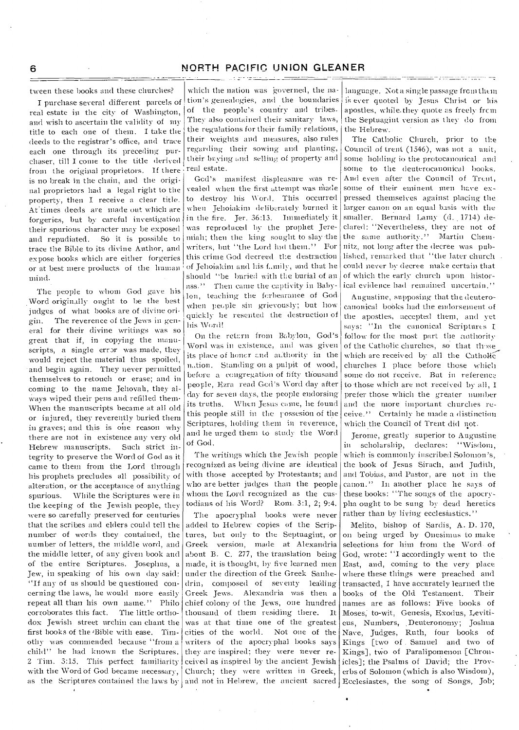tween these books and these churches?

I purchase several different parcels of real estate in the city of Washington, and wish to ascertain the validity of my title to each one of them. I take the deeds to the registrar's office, and trace each one through its preceding purchaser, till I come to the title derived from the original proprietors. If there is no break in the chain, and the original proprietors had a legal right to the property, then I receive a clear title. At times deeds are made out which are forgeries, but by careful investigation their spurious character may be exposed and repudiated. So it is possible to trace the Bible to its divine Author, and expose books which are either forgeries or at best mere products of the human mina.

The people to whom God gave his Word originally ought to be the best judges of what books are of divine origin. The reverence of the Jews in general for their divine writings was so great that if, in copying the manuscripts, a single error was made, they would reject the material thus spoiled, and begin again. They never permitted themselves to retouch or erase; and in coming to the name Jehovah, they always wiped their pens and refilled them• When the manuscripts became at all old or injured, they reverently buried them in graves; and this is one reason why there are not in existence any very old Hebrew manuscripts. Such strict integrity to preserve the Word of God as it came to them from the Lord through his prophets precludes all possibility of alteration, or the acceptance of anything spurious. While the Scriptures were in the keeping of the Jewish people, they were so carefully preserved for centuries that the scribes and elders could tell the number of words they contained, the number of letters, the middle word, and the middle letter, of any given book and of the entire Scriptures. Josephus, a Jew, in speaking of his own day said: "If any of us should be questioned concerning the laws, he would more easily repeat all than his own name." Philo corroborates this fact. The little orthodox Jewish street urchin can chant the first books of the 'Bible with ease. Timothy was commended because "from a child" he had known the Scriptures. 2 Tim. 3:15. This perfect familiarity with the Word Of God became necessary, as the Scriptures contained the laws by and not in Hebrew, the ancient sacred Ecclesiastes, the song of Songs, Job;

which the nation was governed, the nation's genealogies, and the boundaries of the people's country-and tribes. They also contained their sanitary laws, the regulations for their family relations, their weights and measures, also rules regarding their sowing-and planting, their buying and selling of property and real estate.

Gcd's manifest displeasure was revealed when the first attempt was made to destroy his Word. This occurred when Jelioiakini deliberately burned it in the fire. Jer. 36:13. Immediately it was reproduced by the prophet Jeremiah; then the king sought to slay the writers, but "the Lord hid them." For this crime God decreed tl:e destruction of Jehoiakim and his funity, and that he should "be buried with the burial of an ass." Then came the captivity in Babylon, teaching the forbearance of Godwhen people sin grievously; but how quickly he resented the destruction of his Word!

On the return from Babylon, God's Word was in existence, and was given its place of honor and authority in the nation. Standing on a pulpit of wood, -before a congregation of fifty thousand people, Ezra read God's Word day after day for seven days, the people endorsing its truths. When Jesus came, he found this people still in the rossesion of the Scriptures, holding them in reverence, and he urged them to study the Word of God.

The writings which the Jewish people recognized as being divine are identical with those accepted by Protestants; and who are better judges than the people whom the Lord recognized as the custodians of his Word? Rom. 3:1, 2; 9:4.

The apocryphal books were never added to Hebrew copies of the Scriptures, but only to the Septuagint, or Greek version, made at Alexandria about B. C. 277, the translation being made, it is thought, by five learned men under the direction of the Greek Sanhedrin, composed of seventy leading-Greek Jews. Alexandria was then a chief colony of the Jews, one hundred thousand of them residing there. It was at that time one of the greatest cities of the world. Not one of the writers of the apocryphal books says they are inspired; they were never received as inspired by the ancient Jewish icles]; the Psalms of David; the Prov-Church; they were written in Greek,

language. Not a single passage from them is ever quoted by Jesus Christ or his apostles, while they quote as freely from the Septuagint version as they do from the Hebrew.

بالمستنبذ والمستنبذ والمستنب والمستحدث والمستنب

The Catholic Church, prior to tl:e Council of trent (1546), was not a unit, some holding io the protocanonical and some to the deuterocanonical books. And even after the Council of Trent, some of their eminent men have expressed themselves against placing the larger canon on an equal basis with the smaller. Bernard Lamy (d..1714) declared: "Nevertheless, they are not of the same authority." Martin Chemnitz, not long after the decree was published, remarked that "the later church could never by decree make certain that of which the early- church upon historical evidence had remained uncertain."

Augustine, supposing that the deuterocanonical books had the endorsement of the apostles, accepted them, and vet says: "In the canonical Scriptures I follow for the most part the authority of the Catholic churches, so that those which are received by all the Catholic churches I place before those which some do not receive. But in reference to those which are not received by all, I prefer those which the greater number and the more important churches receive." Certainly he made a distinction which the Council of Trent did not.

Jerome, greatly superior to Augustine in scholarship, declares: "Wisdom, which is commonly inscribed Solomon's, • the book of Jesus Sirach, and Judith, and Tobias, and Pastor, are not in the canon." In another place he says of these books: "The songs of the apocrypha ought to be sung by dead heretics rather than by living ecclesiastics."

Melito, bishop of Sardis, A. D. 170, on being urged by Onesimus to make selections for him from the Word- of God, wrote: '`I accordingly went to the East, and, coining to the very place where these things were preached and transacted, I have accurately learned the books of the Old Testament. Their names are as follows: Five books of Moses; to-wit, Genesis, Exodus, Leviticus, Numbers, .Deuteronomy; Joshua Nave, Judges, Ruth, four books of Kings [two of . Samuel and two of Kings], two of Paralipomenon [Chronerbs of Solomon (which is also Wisdom),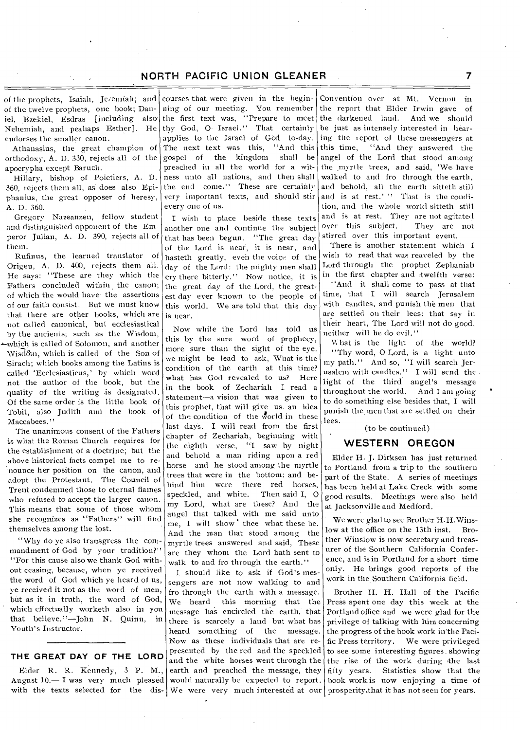of the prophets, Isaiah, Jeremiah; and of the twelve prophets, one book; Daniel, Ezekiel, Esdras [including also. Nehemiah, and peahaps Esther]. He endorses the smaller canon.

Athanasius, the great champion of orthodoxy, A. D. 330, rejects all of the apocrypha except Baruch.

Hillary, bishop of Poictiers, A. D. 360, rejects them all, as does also Epiphanius, the great opposer of heresy, A. D. 360.

Gregory Nazeanzen, fellow student and distinguished opponent of the Emperor Julian, A. D. 390, rejects all of them.

Rufinus, the learned translator of Origen, A. D. 400, rejects them all. He says: "These are they which the Fathers concluded within the canon; of which the would have- the assertions of our faith consist. But we must know that there are other books, which are not called canonical, but ecclesiastical by the ancients; such as the Wisdom, -which is called of Solomon, and another Wisdom, which is called of the Son of

Sirach; which books among the Latins is called 'Ecclesiasticus,' by which word not the author of the book, but the quality of the writing is designated. Of the same order is the little book of Tobit, also Judith and the book. of Maccabees."

The unanimous consent of the Fathers is what the Roman Church requires for the establishment of a doctrine; but the above historical facts compel me to re--nounce her position on the canon, and adopt the Protestant. The Council of Trent condemned those to eternal flames who refused to accept the larger canon. This means that some of those whom she recognizes as "Fathers" will find themselves among the lost.

"Why do ye also transgress the commandment of God by your tradition?" "For this cause also we thank God without ceasing, because, when ye received the word of God which ye heard of us, ye received it not as the word of men, but as it in truth, the word of God, which effectually worketh also in you that believe."—John N. Quinn, in Youth's Instructor.

### **THE GREAT DAY OF THE LORD**

August  $10 - I$  was very much pleased would naturally be expected to report.

courses that were given in the beginning of our meeting. You remember the first text was, "Prepare to meet thy God, 0- Israel." That certainly applies to the Israel of God to-day. The next text was this, "And this gospel of the kingdom shall be gospel of the kingdom preached in all the world for a witness unto all nations, and then shall the end come." These are certainly very important texts, and should stir every one of us.

I wish to place beside these texts another one and continue the 'subject that has been begun. "The great day of the Lord is near, it is near, and hasteth greatly, even the voice of the day of the Lord: the mighty men shall cry there bitterly.'' Now notice, it is the great clay of the Lord, the greatest day ever known to the people of this world. We are told that this day is near.

Now while the Lord has told us this by the sure word of prophecy, more sure than the sight of the eye, we might be lead to ask, What is the condition of the earth at this time? what has God revealed to us? Here in the book of Zechariah I read a statement--a vision that was given to this prophet, that will give us. an idea of the condition of the world in these last days. I will read from the first chapter of Zechariah, beginning with the eighth verse, "I saw by night and behold a man riding upon a red horse and he stood among the myrtle trees that were in the bottom: and behind him were there red horses,<br>speckled, and white. Then said I, O speckled, and white. my Lord, what are these? And the angel that talked with me said unto me. I will show thee what these be. And the man that stood among the myrtle trees answered and said, These are they whom the Lord bath sent to walk to and fro through the earth."

with the texts selected for the dis- We were very much interested at our prosperity, that it has not seen for years. Elder R. R. Kennedy, 3 P. M., earth and preached the message, they I should like to ask if God's messengers are not now walking to and fro through the earth with a message. We heard this morning that the message has encircled the earth, that there is scarcely a land but what has heard something of the message. Now as these individuals that are represented by the red and the speckled and the white horses went through the

•

Convention over at Mt. Vernon in the report that Elder Irwin gave of the darkened land. And we should be just as intensely interested in hearing the report of these messengers at this time, "And they answered the angel of the Lord that stood among the myrtle trees, and said, 'We have walked to and fro through the earth, and behold, all the earth sitteth still and is at rest.' " That is the condition, and the whole world sitteth still and is at rest. They are not agitated over this subject. They are not stirred over this important event.

There is another statement which I wish to read that was reaveled by the Lord through the prophet Zephaniah in the first chapter and twelfth verse: "And it shall come to pass at that time, that I will search Jerusalem with candles, and punish the men that are settled on their lees: that say in their heart, The Lord will not do good, neither will he do evil."

What is the light of the world? "Thy word, 0 Lord, is a light unto my path." And so, '`I will search Jerusalem with candles." I will send the light of the third angel's message throughout the world. And I am going to do something else besides that, I will punish the men that are settled on their lees.

(to be continued)

## **WESTERN OREGON**

Elder H. J. Dirksen has just returned to Portland from a trip to the southern part of the State. A series of meetings has been held at Lake Creek with some good results. Meetings were also held at Jacksonville and Medford.

We were glad to see Brother H.H.Winslow at the office on the 13th inst. Brother Winslow is now secretary and treasurer of the Southern California Conference, and is in Portland for a short time only. He brings good reports of the work in the Southern California field.

Brother H. H. Hall of the Pacific Press spent one day this week at the Portland office and we were glad for the privilege of talking with him concerning the progress of the book work in the Pacific Press territory. We were privileged to see some interesting figures. showing the rise of the work during the last fifty years. Statistics show that the book work is now enjoying a time of